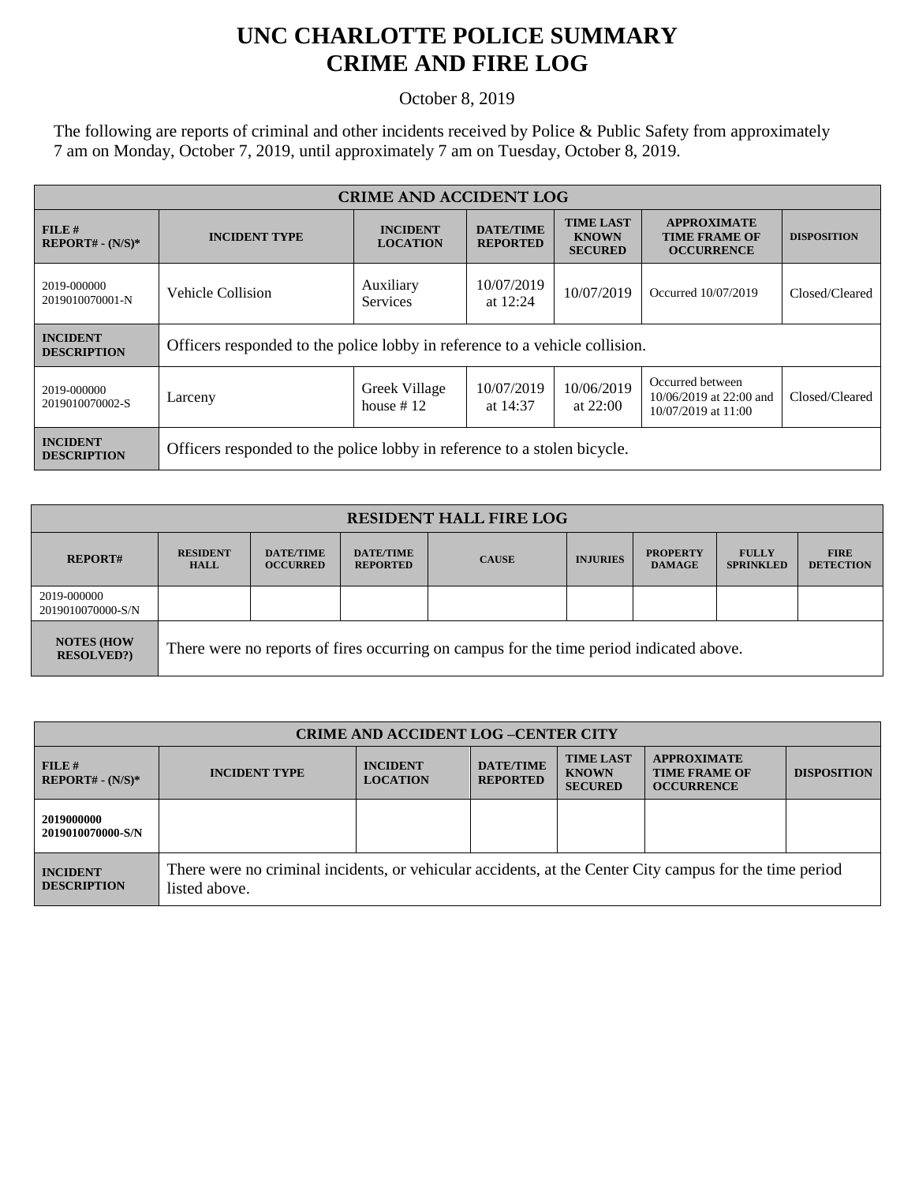## **UNC CHARLOTTE POLICE SUMMARY CRIME AND FIRE LOG**

October 8, 2019

The following are reports of criminal and other incidents received by Police & Public Safety from approximately 7 am on Monday, October 7, 2019, until approximately 7 am on Tuesday, October 8, 2019.

| <b>CRIME AND ACCIDENT LOG</b>         |                                                                             |                                    |                                     |                                                    |                                                                    |                    |  |
|---------------------------------------|-----------------------------------------------------------------------------|------------------------------------|-------------------------------------|----------------------------------------------------|--------------------------------------------------------------------|--------------------|--|
| $FILE$ #<br>$REPORT# - (N/S)*$        | <b>INCIDENT TYPE</b>                                                        | <b>INCIDENT</b><br><b>LOCATION</b> | <b>DATE/TIME</b><br><b>REPORTED</b> | <b>TIME LAST</b><br><b>KNOWN</b><br><b>SECURED</b> | <b>APPROXIMATE</b><br><b>TIME FRAME OF</b><br><b>OCCURRENCE</b>    | <b>DISPOSITION</b> |  |
| 2019-000000<br>2019010070001-N        | Vehicle Collision                                                           | Auxiliary<br><b>Services</b>       | 10/07/2019<br>at $12:24$            | 10/07/2019                                         | Occurred 10/07/2019                                                | Closed/Cleared     |  |
| <b>INCIDENT</b><br><b>DESCRIPTION</b> | Officers responded to the police lobby in reference to a vehicle collision. |                                    |                                     |                                                    |                                                                    |                    |  |
| 2019-000000<br>2019010070002-S        | Larceny                                                                     | Greek Village<br>house $#12$       | 10/07/2019<br>at 14:37              | 10/06/2019<br>at $22:00$                           | Occurred between<br>10/06/2019 at 22:00 and<br>10/07/2019 at 11:00 | Closed/Cleared     |  |
| <b>INCIDENT</b><br><b>DESCRIPTION</b> | Officers responded to the police lobby in reference to a stolen bicycle.    |                                    |                                     |                                                    |                                                                    |                    |  |

| <b>RESIDENT HALL FIRE LOG</b>         |                                                                                         |                                     |                                     |              |                 |                                  |                                  |                                 |
|---------------------------------------|-----------------------------------------------------------------------------------------|-------------------------------------|-------------------------------------|--------------|-----------------|----------------------------------|----------------------------------|---------------------------------|
| <b>REPORT#</b>                        | <b>RESIDENT</b><br><b>HALL</b>                                                          | <b>DATE/TIME</b><br><b>OCCURRED</b> | <b>DATE/TIME</b><br><b>REPORTED</b> | <b>CAUSE</b> | <b>INJURIES</b> | <b>PROPERTY</b><br><b>DAMAGE</b> | <b>FULLY</b><br><b>SPRINKLED</b> | <b>FIRE</b><br><b>DETECTION</b> |
| 2019-000000<br>2019010070000-S/N      |                                                                                         |                                     |                                     |              |                 |                                  |                                  |                                 |
| <b>NOTES (HOW</b><br><b>RESOLVED?</b> | There were no reports of fires occurring on campus for the time period indicated above. |                                     |                                     |              |                 |                                  |                                  |                                 |

| <b>CRIME AND ACCIDENT LOG-CENTER CITY</b> |                                                                                                                          |                                    |                                     |                                                    |                                                                 |                    |
|-------------------------------------------|--------------------------------------------------------------------------------------------------------------------------|------------------------------------|-------------------------------------|----------------------------------------------------|-----------------------------------------------------------------|--------------------|
| FILE#<br>$REPORT# - (N/S)*$               | <b>INCIDENT TYPE</b>                                                                                                     | <b>INCIDENT</b><br><b>LOCATION</b> | <b>DATE/TIME</b><br><b>REPORTED</b> | <b>TIME LAST</b><br><b>KNOWN</b><br><b>SECURED</b> | <b>APPROXIMATE</b><br><b>TIME FRAME OF</b><br><b>OCCURRENCE</b> | <b>DISPOSITION</b> |
| 2019000000<br>2019010070000-S/N           |                                                                                                                          |                                    |                                     |                                                    |                                                                 |                    |
| <b>INCIDENT</b><br><b>DESCRIPTION</b>     | There were no criminal incidents, or vehicular accidents, at the Center City campus for the time period<br>listed above. |                                    |                                     |                                                    |                                                                 |                    |